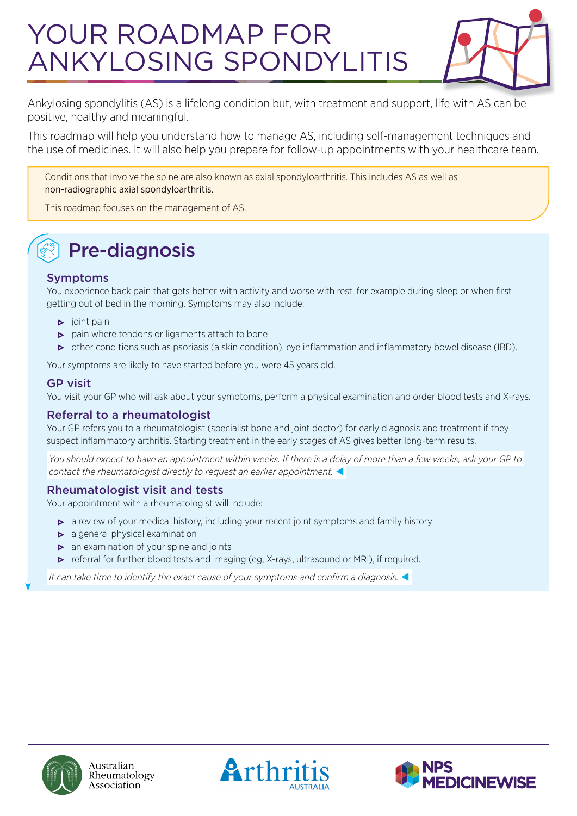# YOUR ROADMAP FOR ANKYLOSING SPONDYLITIS



Ankylosing spondylitis (AS) is a lifelong condition but, with treatment and support, life with AS can be positive, healthy and meaningful.

This roadmap will help you understand how to manage AS, including self-management techniques and the use of medicines. It will also help you prepare for follow-up appointments with your healthcare team.

Conditions that involve the spine are also known as axial spondyloarthritis. This includes AS as well as [non-radiographic axial spondyloarthritis](https://arthritisaustralia.com.au/types-of-arthritis/non-radiographic-axial-spondyloarthritis/).

This roadmap focuses on the management of AS.

# Pre-diagnosis

#### Symptoms

You experience back pain that gets better with activity and worse with rest, for example during sleep or when first getting out of bed in the morning. Symptoms may also include:

- $\triangleright$  joint pain
- $\triangleright$  pain where tendons or ligaments attach to bone
- other conditions such as psoriasis (a skin condition), eye inflammation and inflammatory bowel disease (IBD).

Your symptoms are likely to have started before you were 45 years old.

#### GP visit

You visit your GP who will ask about your symptoms, perform a physical examination and order blood tests and X-rays.

#### Referral to a rheumatologist

Your GP refers you to a rheumatologist (specialist bone and joint doctor) for early diagnosis and treatment if they suspect inflammatory arthritis. Starting treatment in the early stages of AS gives better long-term results.

 *You should expect to have an appointment within weeks. If there is a delay of more than a few weeks, ask your GP to contact the rheumatologist directly to request an earlier appointment.* 

#### Rheumatologist visit and tests

Your appointment with a rheumatologist will include:

- a review of your medical history, including your recent joint symptoms and family history
- $\triangleright$  a general physical examination
- $\triangleright$  an examination of your spine and joints
- **•** referral for further blood tests and imaging (eg, X-rays, ultrasound or MRI), if required.

 *It can take time to identify the exact cause of your symptoms and confirm a diagnosis.* 





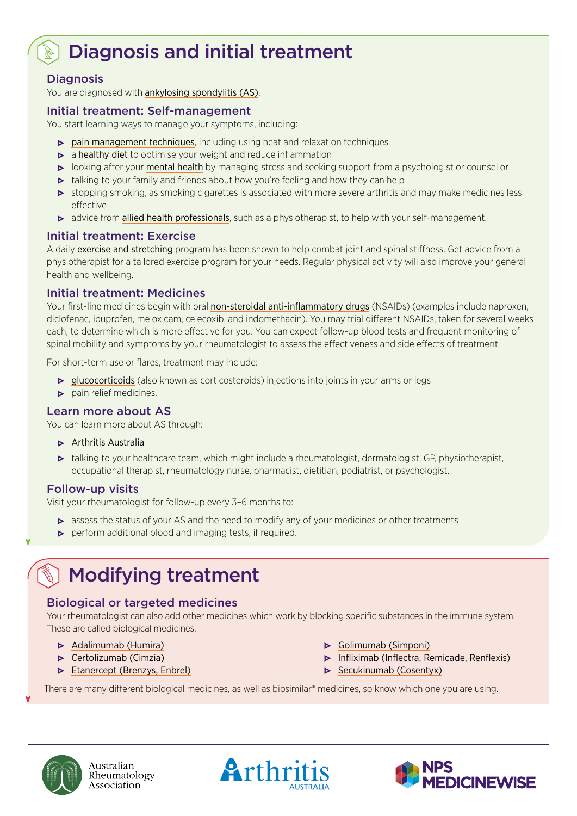# Diagnosis and initial treatment

#### **Diagnosis**

You are diagnosed with [ankylosing spondylitis \(AS\)](https://arthritisaustralia.com.au/types-of-arthritis/ankylosing-spondylitis/).

#### Initial treatment: Self-management

You start learning ways to manage your symptoms, including:

- $\triangleright$  [pain management techniques](https://arthritisaustralia.com.au/managing-arthritis/living-with-arthritis/dealing-with-pain/), including using heat and relaxation techniques
- $\triangleright$  a [healthy diet](https://arthritisaustralia.com.au/managing-arthritis/living-with-arthritis/healthy-eating/) to optimise your weight and reduce inflammation
- looking after your [mental health](https://arthritisaustralia.com.au/managing-arthritis/living-with-arthritis/arthritis-and-emotions/) by managing stress and seeking support from a psychologist or counsellor
- $\triangleright$  talking to your family and friends about how you're feeling and how they can help
- stopping smoking, as smoking cigarettes is associated with more severe arthritis and may make medicines less effective
- advice from [allied health professionals](https://arthritisaustralia.com.au/managing-arthritis/medical-management/working-with-your-healthcare-team/), such as a physiotherapist, to help with your self-management.

#### Initial treatment: Exercise

A daily [exercise and stretching](https://arthritisaustralia.com.au/get-support/resources/working-out-with-michael-slater/) program has been shown to help combat joint and spinal stiffness. Get advice from a physiotherapist for a tailored exercise program for your needs. Regular physical activity will also improve your general health and wellbeing.

#### Initial treatment: Medicines

Your first-line medicines begin with oral [non-steroidal anti-inflammatory drugs](https://rheumatology.org.au/patients/documents/NSAIDS_2019v2.pdf) (NSAIDs) (examples include naproxen, diclofenac, ibuprofen, meloxicam, celecoxib, and indomethacin). You may trial different NSAIDs, taken for several weeks each, to determine which is more effective for you. You can expect follow-up blood tests and frequent monitoring of spinal mobility and symptoms by your rheumatologist to assess the effectiveness and side effects of treatment.

For short-term use or flares, treatment may include:

- [glucocorticoids](https://rheumatology.org.au/patients/documents/Prednisolone_2019.pdf) (also known as corticosteroids) injections into joints in your arms or legs
- **•** pain relief medicines.

#### Learn more about AS

You can learn more about AS through:

- **•** [Arthritis Australia](https://arthritisaustralia.com.au/)
- talking to your healthcare team, which might include a rheumatologist, dermatologist, GP, physiotherapist, occupational therapist, rheumatology nurse, pharmacist, dietitian, podiatrist, or psychologist.

#### Follow-up visits

Visit your rheumatologist for follow-up every 3–6 months to:

- **•** assess the status of your AS and the need to modify any of your medicines or other treatments
- $\triangleright$  perform additional blood and imaging tests, if required.

## Modifying treatment

#### Biological or targeted medicines

Your rheumatologist can also add other medicines which work by blocking specific substances in the immune system. These are called biological medicines.

- [Adalimumab \(Humira\)](https://rheumatology.org.au/patients/documents/Adalimumab_Apr2019.pdf)
- **•** [Certolizumab \(Cimzia\)](https://rheumatology.org.au/patients/documents/Certolizumab_2019.pdf)
- **[Etanercept \(Brenzys, Enbrel\)](https://rheumatology.org.au/patients/documents/Etanercept_2019.pdf)**
- [Golimumab \(Simponi\)](https://rheumatology.org.au/patients/documents/Golimumab_2019.pdf)
- **•** [Infliximab \(Inflectra, Remicade, Renflexis\)](https://rheumatology.org.au/patients/documents/Infliximab_2019.pdf)
- **•** [Secukinumab \(Cosentyx\)](https://rheumatology.org.au/patients/documents/Secukinumab_2019.pdf)

There are many different biological medicines, as well as biosimilar\* medicines, so know which one you are using.